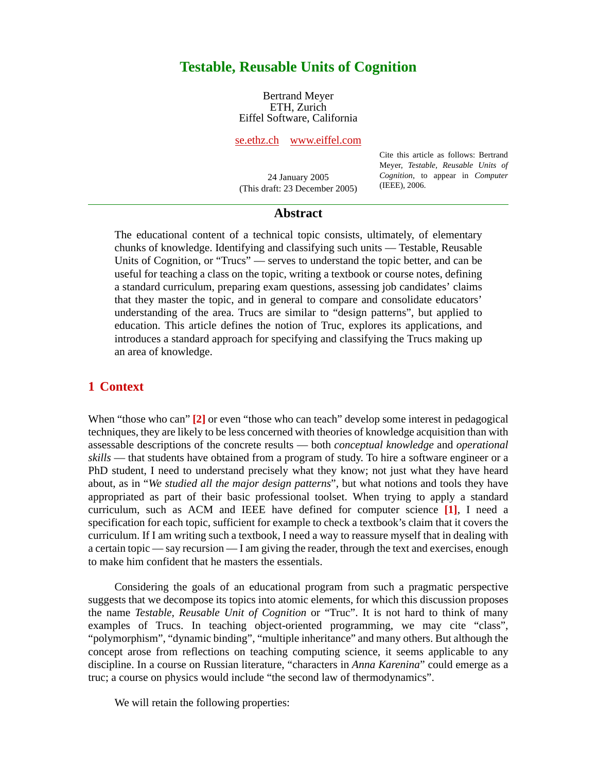# **Testable, Reusable Units of Cognition**

Bertrand Meyer ETH, Zurich Eiffel Software, California

[se.ethz.ch](http://se.ethz.ch) [www.eiffel.com](http://www.eiffel.com)

24 January 2005 (This draft: 23 December 2005) Cite this article as follows: Bertrand Meyer, *Testable, Reusable Units of Cognition*, to appear in *Computer* (IEEE), 2006.

### **Abstract**

The educational content of a technical topic consists, ultimately, of elementary chunks of knowledge. Identifying and classifying such units — Testable, Reusable Units of Cognition, or "Trucs" — serves to understand the topic better, and can be useful for teaching a class on the topic, writing a textbook or course notes, defining a standard curriculum, preparing exam questions, assessing job candidates' claims that they master the topic, and in general to compare and consolidate educators' understanding of the area. Trucs are similar to "design patterns", but applied to education. This article defines the notion of Truc, explores its applications, and introduces a standard approach for specifying and classifying the Trucs making up an area of knowledge.

### **1 Context**

When "those who can" **[\[2\]](#page-6-0)** or even "those who can teach" develop some interest in pedagogical techniques, they are likely to be less concerned with theories of knowledge acquisition than with assessable descriptions of the concrete results — both *conceptual knowledge* and *operational skills* — that students have obtained from a program of study. To hire a software engineer or a PhD student, I need to understand precisely what they know; not just what they have heard about, as in "*We studied all the major design patterns*", but what notions and tools they have appropriated as part of their basic professional toolset. When trying to apply a standard curriculum, such as ACM and IEEE have defined for computer science **[\[1\]](#page-6-1)**, I need a specification for each topic, sufficient for example to check a textbook's claim that it covers the curriculum. If I am writing such a textbook, I need a way to reassure myself that in dealing with a certain topic — say recursion — I am giving the reader, through the text and exercises, enough to make him confident that he masters the essentials.

Considering the goals of an educational program from such a pragmatic perspective suggests that we decompose its topics into atomic elements, for which this discussion proposes the name *Testable, Reusable Unit of Cognition* or "Truc". It is not hard to think of many examples of Trucs. In teaching object-oriented programming, we may cite "class", "polymorphism", "dynamic binding", "multiple inheritance" and many others. But although the concept arose from reflections on teaching computing science, it seems applicable to any discipline. In a course on Russian literature, "characters in *Anna Karenina*" could emerge as a truc; a course on physics would include "the second law of thermodynamics".

We will retain the following properties: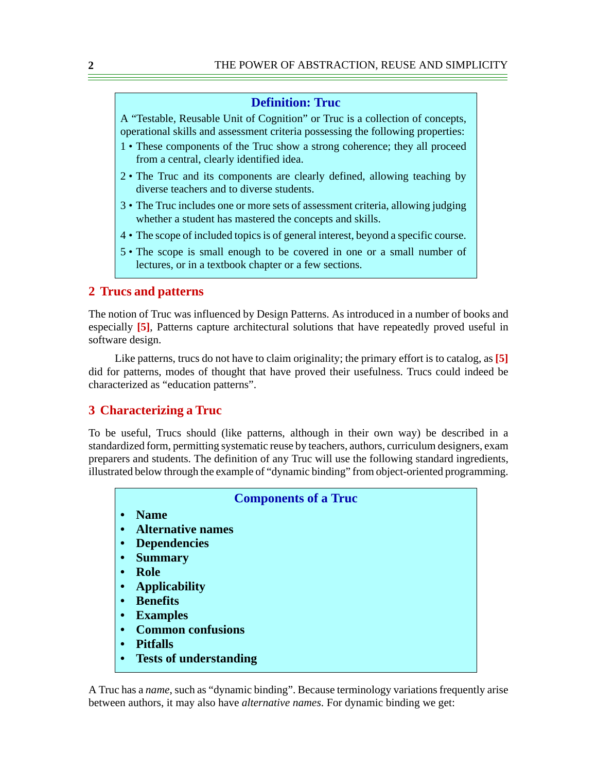### **Definition: Truc**

A "Testable, Reusable Unit of Cognition" or Truc is a collection of concepts, operational skills and assessment criteria possessing the following properties:

- 1 These components of the Truc show a strong coherence; they all proceed from a central, clearly identified idea.
- 2 The Truc and its components are clearly defined, allowing teaching by diverse teachers and to diverse students.
- <span id="page-1-0"></span>3 • The Truc includes one or more sets of assessment criteria, allowing judging whether a student has mastered the concepts and skills.
- 4 The scope of included topics is of general interest, beyond a specific course.
- 5 The scope is small enough to be covered in one or a small number of lectures, or in a textbook chapter or a few sections.

## **2 Trucs and patterns**

The notion of Truc was influenced by Design Patterns. As introduced in a number of books and especially **[\[5\]](#page-6-2)**, Patterns capture architectural solutions that have repeatedly proved useful in software design.

Like patterns, trucs do not have to claim originality; the primary effort is to catalog, as **[\[5\]](#page-6-2)** did for patterns, modes of thought that have proved their usefulness. Trucs could indeed be characterized as "education patterns".

# **3 Characterizing a Truc**

To be useful, Trucs should (like patterns, although in their own way) be described in a standardized form, permitting systematic reuse by teachers, authors, curriculum designers, exam preparers and students. The definition of any Truc will use the following standard ingredients, illustrated below through the example of "dynamic binding" from object-oriented programming.



A Truc has a *name*, such as "dynamic binding". Because terminology variations frequently arise between authors, it may also have *alternative names*. For dynamic binding we get: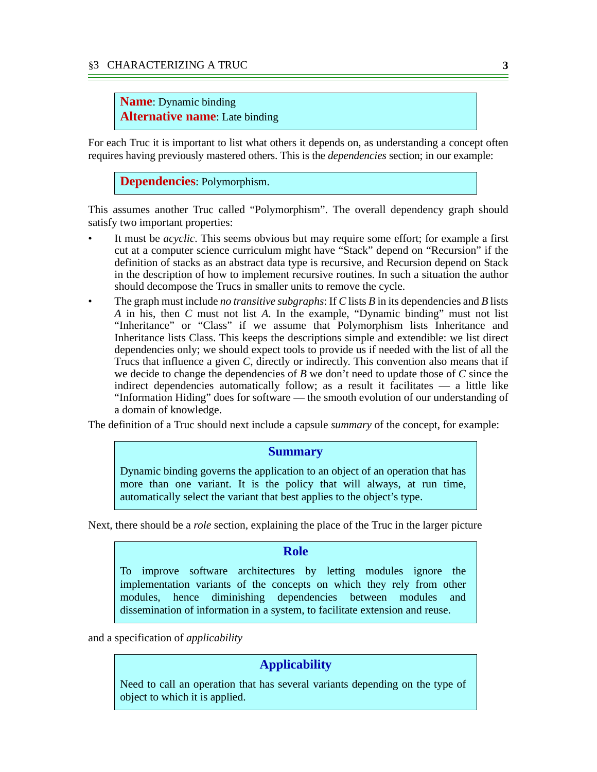### **Name**: Dynamic binding **Alternative name**: Late binding

For each Truc it is important to list what others it depends on, as understanding a concept often requires having previously mastered others. This is the *dependencies* section; in our example:

**Dependencies**: Polymorphism.

This assumes another Truc called "Polymorphism". The overall dependency graph should satisfy two important properties:

- It must be *acyclic*. This seems obvious but may require some effort; for example a first cut at a computer science curriculum might have "Stack" depend on "Recursion" if the definition of stacks as an abstract data type is recursive, and Recursion depend on Stack in the description of how to implement recursive routines. In such a situation the author should decompose the Trucs in smaller units to remove the cycle.
- The graph must include *no transitive subgraphs*: If *C* lists *B* in its dependencies and *B* lists *A* in his, then *C* must not list *A*. In the example, "Dynamic binding" must not list "Inheritance" or "Class" if we assume that Polymorphism lists Inheritance and Inheritance lists Class. This keeps the descriptions simple and extendible: we list direct dependencies only; we should expect tools to provide us if needed with the list of all the Trucs that influence a given *C*, directly or indirectly. This convention also means that if we decide to change the dependencies of *B* we don't need to update those of *C* since the indirect dependencies automatically follow; as a result it facilitates — a little like "Information Hiding" does for software — the smooth evolution of our understanding of a domain of knowledge.

The definition of a Truc should next include a capsule *summary* of the concept, for example:

#### **Summary**

Dynamic binding governs the application to an object of an operation that has more than one variant. It is the policy that will always, at run time, automatically select the variant that best applies to the object's type.

Next, there should be a *role* section, explaining the place of the Truc in the larger picture

### **Role**

To improve software architectures by letting modules ignore the implementation variants of the concepts on which they rely from other modules, hence diminishing dependencies between modules and dissemination of information in a system, to facilitate extension and reuse.

and a specification of *applicability*

# **Applicability**

Need to call an operation that has several variants depending on the type of object to which it is applied.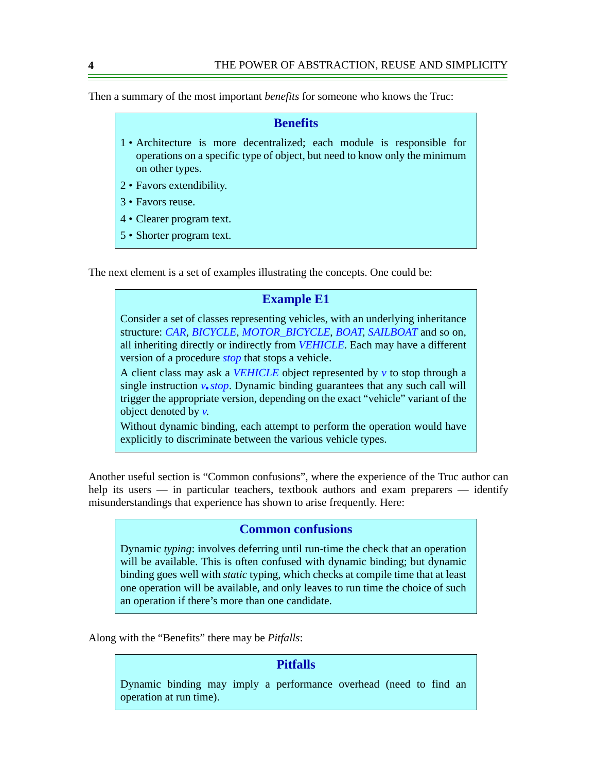Then a summary of the most important *benefits* for someone who knows the Truc:

#### **Benefits**

- 1 Architecture is more decentralized; each module is responsible for operations on a specific type of object, but need to know only the minimum on other types.
- 2 Favors extendibility.
- 3 Favors reuse.
- 4 Clearer program text.
- 5 Shorter program text.

The next element is a set of examples illustrating the concepts. One could be:

### **Example E1**

Consider a set of classes representing vehicles, with an underlying inheritance structure: *CAR*, *BICYCLE*, *MOTOR\_BICYCLE*, *BOAT*, *SAILBOAT* and so on, all inheriting directly or indirectly from *VEHICLE*. Each may have a different version of a procedure *stop* that stops a vehicle.

A client class may ask a *VEHICLE* object represented by *v* to stop through a single instruction *v*.*stop*. Dynamic binding guarantees that any such call will trigger the appropriate version, depending on the exact "vehicle" variant of the object denoted by *v*.

Without dynamic binding, each attempt to perform the operation would have explicitly to discriminate between the various vehicle types.

Another useful section is "Common confusions", where the experience of the Truc author can help its users — in particular teachers, textbook authors and exam preparers — identify misunderstandings that experience has shown to arise frequently. Here:

### **Common confusions**

Dynamic *typing*: involves deferring until run-time the check that an operation will be available. This is often confused with dynamic binding; but dynamic binding goes well with *static* typing, which checks at compile time that at least one operation will be available, and only leaves to run time the choice of such an operation if there's more than one candidate.

Along with the "Benefits" there may be *Pitfalls*:

### **Pitfalls**

Dynamic binding may imply a performance overhead (need to find an operation at run time).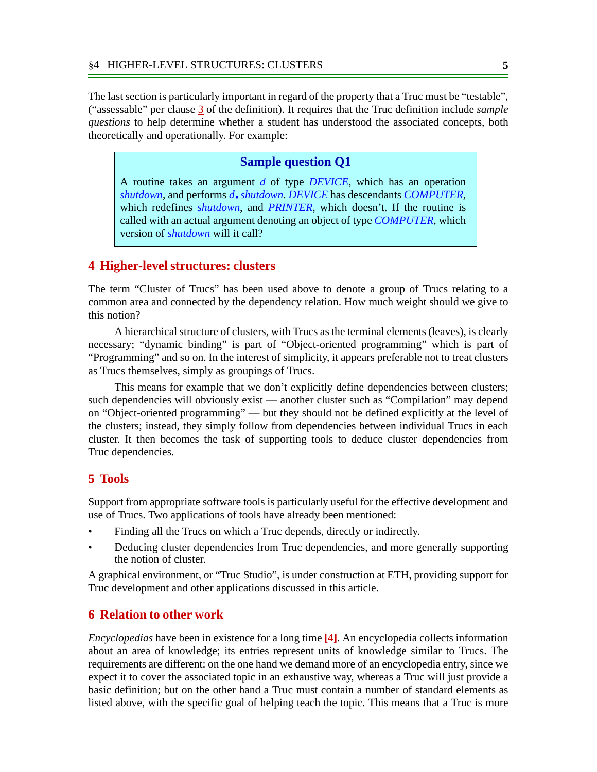The last section is particularly important in regard of the property that a Truc must be "testable", ("assessable" per clause [3](#page-1-0) of the definition). It requires that the Truc definition include *sample questions* to help determine whether a student has understood the associated concepts, both theoretically and operationally. For example:

### **Sample question Q1**

A routine takes an argument *d* of type *DEVICE*, which has an operation *shutdown*, and performs *d*.*shutdown*. *DEVICE* has descendants *COMPUTER*, which redefines *shutdown*, and *PRINTER*, which doesn't. If the routine is called with an actual argument denoting an object of type *COMPUTER*, which version of *shutdown* will it call?

### **4 Higher-level structures: clusters**

The term "Cluster of Trucs" has been used above to denote a group of Trucs relating to a common area and connected by the dependency relation. How much weight should we give to this notion?

A hierarchical structure of clusters, with Trucs as the terminal elements (leaves), is clearly necessary; "dynamic binding" is part of "Object-oriented programming" which is part of "Programming" and so on. In the interest of simplicity, it appears preferable not to treat clusters as Trucs themselves, simply as groupings of Trucs.

This means for example that we don't explicitly define dependencies between clusters; such dependencies will obviously exist — another cluster such as "Compilation" may depend on "Object-oriented programming" — but they should not be defined explicitly at the level of the clusters; instead, they simply follow from dependencies between individual Trucs in each cluster. It then becomes the task of supporting tools to deduce cluster dependencies from Truc dependencies.

### **5 Tools**

Support from appropriate software tools is particularly useful for the effective development and use of Trucs. Two applications of tools have already been mentioned:

- Finding all the Trucs on which a Truc depends, directly or indirectly.
- Deducing cluster dependencies from Truc dependencies, and more generally supporting the notion of cluster.

A graphical environment, or "Truc Studio", is under construction at ETH, providing support for Truc development and other applications discussed in this article.

#### **6 Relation to other work**

*Encyclopedias* have been in existence for a long time **[\[4\]](#page-6-3)**. An encyclopedia collects information about an area of knowledge; its entries represent units of knowledge similar to Trucs. The requirements are different: on the one hand we demand more of an encyclopedia entry, since we expect it to cover the associated topic in an exhaustive way, whereas a Truc will just provide a basic definition; but on the other hand a Truc must contain a number of standard elements as listed above, with the specific goal of helping teach the topic. This means that a Truc is more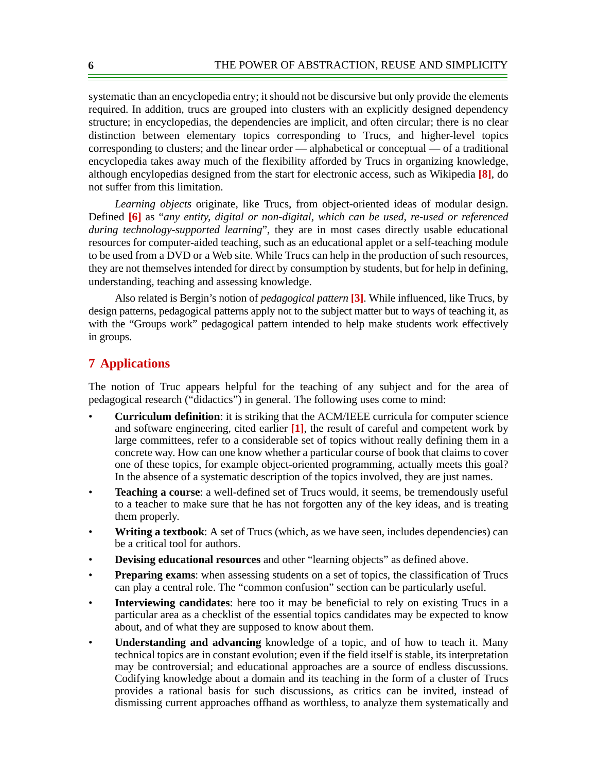systematic than an encyclopedia entry; it should not be discursive but only provide the elements required. In addition, trucs are grouped into clusters with an explicitly designed dependency structure; in encyclopedias, the dependencies are implicit, and often circular; there is no clear distinction between elementary topics corresponding to Trucs, and higher-level topics corresponding to clusters; and the linear order — alphabetical or conceptual — of a traditional encyclopedia takes away much of the flexibility afforded by Trucs in organizing knowledge, although encylopedias designed from the start for electronic access, such as Wikipedia **[\[8\]](#page-6-6)**, do not suffer from this limitation.

*Learning objects* originate, like Trucs, from object-oriented ideas of modular design. Defined **[\[6\]](#page-6-5)** as "*any entity, digital or non-digital, which can be used, re-used or referenced during technology-supported learning*", they are in most cases directly usable educational resources for computer-aided teaching, such as an educational applet or a self-teaching module to be used from a DVD or a Web site. While Trucs can help in the production of such resources, they are not themselves intended for direct by consumption by students, but for help in defining, understanding, teaching and assessing knowledge.

Also related is Bergin's notion of *pedagogical pattern* **[\[3\]](#page-6-4)**. While influenced, like Trucs, by design patterns, pedagogical patterns apply not to the subject matter but to ways of teaching it, as with the "Groups work" pedagogical pattern intended to help make students work effectively in groups.

# **7 Applications**

The notion of Truc appears helpful for the teaching of any subject and for the area of pedagogical research ("didactics") in general. The following uses come to mind:

- **Curriculum definition**: it is striking that the ACM/IEEE curricula for computer science and software engineering, cited earlier **[\[1\]](#page-6-1)**, the result of careful and competent work by large committees, refer to a considerable set of topics without really defining them in a concrete way. How can one know whether a particular course of book that claims to cover one of these topics, for example object-oriented programming, actually meets this goal? In the absence of a systematic description of the topics involved, they are just names.
- **Teaching a course**: a well-defined set of Trucs would, it seems, be tremendously useful to a teacher to make sure that he has not forgotten any of the key ideas, and is treating them properly.
- **Writing a textbook**: A set of Trucs (which, as we have seen, includes dependencies) can be a critical tool for authors.
- **Devising educational resources** and other "learning objects" as defined above.
- **Preparing exams**: when assessing students on a set of topics, the classification of Trucs can play a central role. The "common confusion" section can be particularly useful.
- **Interviewing candidates**: here too it may be beneficial to rely on existing Trucs in a particular area as a checklist of the essential topics candidates may be expected to know about, and of what they are supposed to know about them.
- **Understanding and advancing** knowledge of a topic, and of how to teach it. Many technical topics are in constant evolution; even if the field itself is stable, its interpretation may be controversial; and educational approaches are a source of endless discussions. Codifying knowledge about a domain and its teaching in the form of a cluster of Trucs provides a rational basis for such discussions, as critics can be invited, instead of dismissing current approaches offhand as worthless, to analyze them systematically and